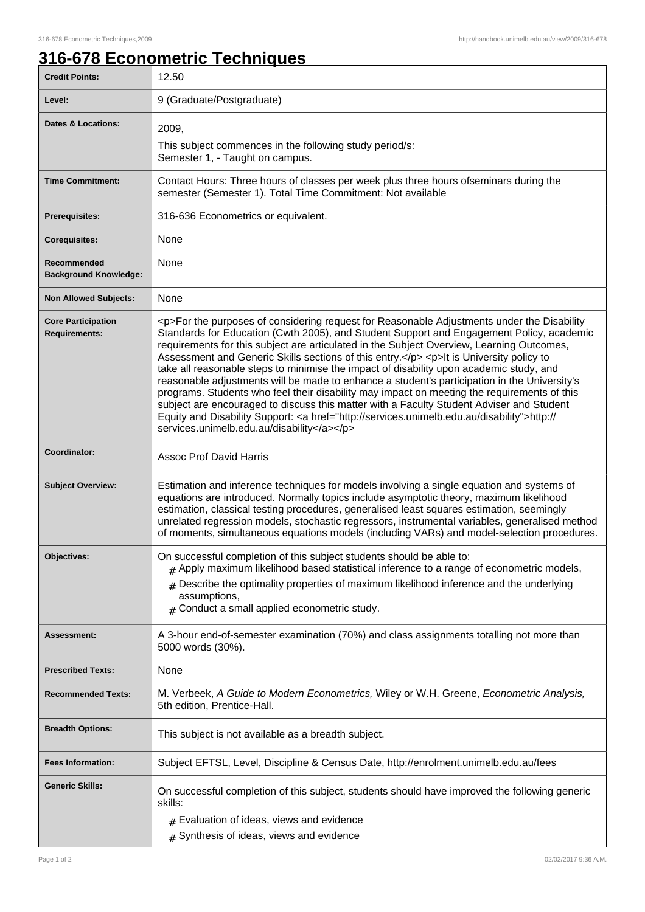## **316-678 Econometric Techniques**

| <b>Credit Points:</b>                             | 12.50                                                                                                                                                                                                                                                                                                                                                                                                                                                                                                                                                                                                                                                                                                                                                                                                                                                                                                                        |
|---------------------------------------------------|------------------------------------------------------------------------------------------------------------------------------------------------------------------------------------------------------------------------------------------------------------------------------------------------------------------------------------------------------------------------------------------------------------------------------------------------------------------------------------------------------------------------------------------------------------------------------------------------------------------------------------------------------------------------------------------------------------------------------------------------------------------------------------------------------------------------------------------------------------------------------------------------------------------------------|
| Level:                                            | 9 (Graduate/Postgraduate)                                                                                                                                                                                                                                                                                                                                                                                                                                                                                                                                                                                                                                                                                                                                                                                                                                                                                                    |
| <b>Dates &amp; Locations:</b>                     | 2009,                                                                                                                                                                                                                                                                                                                                                                                                                                                                                                                                                                                                                                                                                                                                                                                                                                                                                                                        |
|                                                   | This subject commences in the following study period/s:<br>Semester 1, - Taught on campus.                                                                                                                                                                                                                                                                                                                                                                                                                                                                                                                                                                                                                                                                                                                                                                                                                                   |
| <b>Time Commitment:</b>                           | Contact Hours: Three hours of classes per week plus three hours ofseminars during the<br>semester (Semester 1). Total Time Commitment: Not available                                                                                                                                                                                                                                                                                                                                                                                                                                                                                                                                                                                                                                                                                                                                                                         |
| <b>Prerequisites:</b>                             | 316-636 Econometrics or equivalent.                                                                                                                                                                                                                                                                                                                                                                                                                                                                                                                                                                                                                                                                                                                                                                                                                                                                                          |
| <b>Corequisites:</b>                              | None                                                                                                                                                                                                                                                                                                                                                                                                                                                                                                                                                                                                                                                                                                                                                                                                                                                                                                                         |
| Recommended<br><b>Background Knowledge:</b>       | None                                                                                                                                                                                                                                                                                                                                                                                                                                                                                                                                                                                                                                                                                                                                                                                                                                                                                                                         |
| <b>Non Allowed Subjects:</b>                      | None                                                                                                                                                                                                                                                                                                                                                                                                                                                                                                                                                                                                                                                                                                                                                                                                                                                                                                                         |
| <b>Core Participation</b><br><b>Requirements:</b> | <p>For the purposes of considering request for Reasonable Adjustments under the Disability<br/>Standards for Education (Cwth 2005), and Student Support and Engagement Policy, academic<br/>requirements for this subject are articulated in the Subject Overview, Learning Outcomes,<br/>Assessment and Generic Skills sections of this entry.</p> <p>It is University policy to<br/>take all reasonable steps to minimise the impact of disability upon academic study, and<br/>reasonable adjustments will be made to enhance a student's participation in the University's<br/>programs. Students who feel their disability may impact on meeting the requirements of this<br/>subject are encouraged to discuss this matter with a Faculty Student Adviser and Student<br/>Equity and Disability Support: &lt; a href="http://services.unimelb.edu.au/disability"&gt;http://<br/>services.unimelb.edu.au/disability</p> |
| Coordinator:                                      | <b>Assoc Prof David Harris</b>                                                                                                                                                                                                                                                                                                                                                                                                                                                                                                                                                                                                                                                                                                                                                                                                                                                                                               |
| <b>Subject Overview:</b>                          | Estimation and inference techniques for models involving a single equation and systems of<br>equations are introduced. Normally topics include asymptotic theory, maximum likelihood<br>estimation, classical testing procedures, generalised least squares estimation, seemingly<br>unrelated regression models, stochastic regressors, instrumental variables, generalised method<br>of moments, simultaneous equations models (including VARs) and model-selection procedures.                                                                                                                                                                                                                                                                                                                                                                                                                                            |
| Objectives:                                       | On successful completion of this subject students should be able to:<br># Apply maximum likelihood based statistical inference to a range of econometric models,<br>$#$ Describe the optimality properties of maximum likelihood inference and the underlying<br>assumptions,<br>$#$ Conduct a small applied econometric study.                                                                                                                                                                                                                                                                                                                                                                                                                                                                                                                                                                                              |
| Assessment:                                       | A 3-hour end-of-semester examination (70%) and class assignments totalling not more than<br>5000 words (30%).                                                                                                                                                                                                                                                                                                                                                                                                                                                                                                                                                                                                                                                                                                                                                                                                                |
| <b>Prescribed Texts:</b>                          | None                                                                                                                                                                                                                                                                                                                                                                                                                                                                                                                                                                                                                                                                                                                                                                                                                                                                                                                         |
| <b>Recommended Texts:</b>                         | M. Verbeek, A Guide to Modern Econometrics, Wiley or W.H. Greene, Econometric Analysis,<br>5th edition, Prentice-Hall.                                                                                                                                                                                                                                                                                                                                                                                                                                                                                                                                                                                                                                                                                                                                                                                                       |
| <b>Breadth Options:</b>                           | This subject is not available as a breadth subject.                                                                                                                                                                                                                                                                                                                                                                                                                                                                                                                                                                                                                                                                                                                                                                                                                                                                          |
| <b>Fees Information:</b>                          | Subject EFTSL, Level, Discipline & Census Date, http://enrolment.unimelb.edu.au/fees                                                                                                                                                                                                                                                                                                                                                                                                                                                                                                                                                                                                                                                                                                                                                                                                                                         |
| <b>Generic Skills:</b>                            | On successful completion of this subject, students should have improved the following generic<br>skills:<br>$#$ Evaluation of ideas, views and evidence<br>$#$ Synthesis of ideas, views and evidence                                                                                                                                                                                                                                                                                                                                                                                                                                                                                                                                                                                                                                                                                                                        |